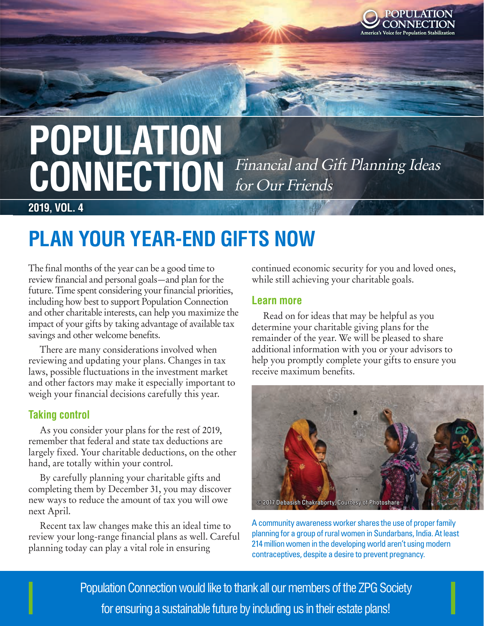

# **POPULATION**<br>CONINITATION Financial and Gift Planning Ideas CONNECTION Financial and Gift Planning Ideas for Our Friends

**2019, VOL. 4**

### **PLAN YOUR YEAR-END GIFTS NOW**

The final months of the year can be a good time to review financial and personal goals—and plan for the future. Time spent considering your financial priorities, including how best to support Population Connection and other charitable interests, can help you maximize the impact of your gifts by taking advantage of available tax savings and other welcome benefits.

There are many considerations involved when reviewing and updating your plans. Changes in tax laws, possible fluctuations in the investment market and other factors may make it especially important to weigh your financial decisions carefully this year.

#### **Taking control**

As you consider your plans for the rest of 2019, remember that federal and state tax deductions are largely fixed. Your charitable deductions, on the other hand, are totally within your control.

By carefully planning your charitable gifts and completing them by December 31, you may discover new ways to reduce the amount of tax you will owe next April.

Recent tax law changes make this an ideal time to review your long-range financial plans as well. Careful planning today can play a vital role in ensuring

continued economic security for you and loved ones, while still achieving your charitable goals.

#### **Learn more**

Read on for ideas that may be helpful as you determine your charitable giving plans for the remainder of the year. We will be pleased to share additional information with you or your advisors to help you promptly complete your gifts to ensure you receive maximum benefits.



A community awareness worker shares the use of proper family planning for a group of rural women in Sundarbans, India. At least 214 million women in the developing world aren't using modern contraceptives, despite a desire to prevent pregnancy.

**Erciliptive volution in domination would like to thank all our members of the ZPG Society** aditatis susande sus ut excerrovit alicium  $\blacksquare$  for ensuring a sustainable future by including us in their estate plans!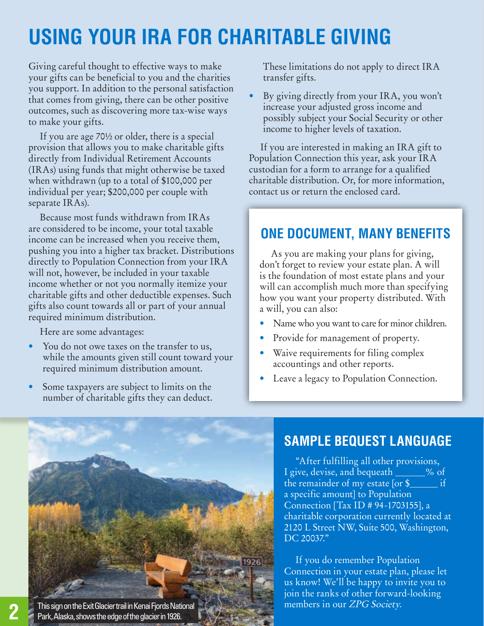## **USING YOUR IRA FOR CHARITABLE GIVING**

Giving careful thought to effective ways to make your gifts can be beneficial to you and the charities you support. In addition to the personal satisfaction that comes from giving, there can be other positive outcomes, such as discovering more tax-wise ways to make your gifts.

If you are age 70½ or older, there is a special provision that allows you to make charitable gifts directly from Individual Retirement Accounts (IRAs) using funds that might otherwise be taxed when withdrawn (up to a total of \$100,000 per individual per year; \$200,000 per couple with separate IRAs).

Because most funds withdrawn from IRAs are considered to be income, your total taxable income can be increased when you receive them, pushing you into a higher tax bracket. Distributions directly to Population Connection from your IRA will not, however, be included in your taxable income whether or not you normally itemize your charitable gifts and other deductible expenses. Such gifts also count towards all or part of your annual required minimum distribution.

Here are some advantages:

- You do not owe taxes on the transfer to us, while the amounts given still count toward your required minimum distribution amount.
- Some taxpayers are subject to limits on the number of charitable gifts they can deduct.

These limitations do not apply to direct IRA transfer gifts.

• By giving directly from your IRA, you won't increase your adjusted gross income and possibly subject your Social Security or other income to higher levels of taxation.

If you are interested in making an IRA gift to Population Connection this year, ask your IRA custodian for a form to arrange for a qualified charitable distribution. Or, for more information, contact us or return the enclosed card.

### **ONE DOCUMENT, MANY BENEFITS**

As you are making your plans for giving, don't forget to review your estate plan. A will is the foundation of most estate plans and your will can accomplish much more than specifying how you want your property distributed. With a will, you can also:

- Name who you want to care for minor children.
- Provide for management of property.
- Waive requirements for filing complex accountings and other reports.
- Leave a legacy to Population Connection.



### **SAMPLE BEQUEST LANGUAGE**

"After fulfilling all other provisions, I give, devise, and bequeath \_\_\_\_\_% of the remainder of my estate  $[or \$ a specific amount] to Population Connection [Tax ID # 94-1703155], a charitable corporation currently located at 2120 L Street NW, Suite 500, Washington, DC 20037."

If you do remember Population Connection in your estate plan, please let us know! We'll be happy to invite you to join the ranks of other forward-looking members in our ZPG Society.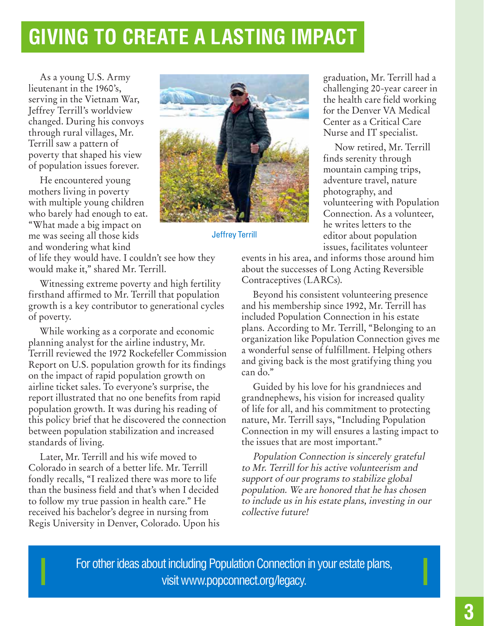### **GIVING TO CREATE A LASTING IMPACT**

As a young U.S. Army lieutenant in the 1960's, serving in the Vietnam War, Jeffrey Terrill's worldview changed. During his convoys through rural villages, Mr. Terrill saw a pattern of poverty that shaped his view of population issues forever.

He encountered young mothers living in poverty with multiple young children who barely had enough to eat. "What made a big impact on me was seeing all those kids and wondering what kind



Jeffrey Terrill

of life they would have. I couldn't see how they would make it," shared Mr. Terrill.

Witnessing extreme poverty and high fertility firsthand affirmed to Mr. Terrill that population growth is a key contributor to generational cycles of poverty.

While working as a corporate and economic planning analyst for the airline industry, Mr. Terrill reviewed the 1972 Rockefeller Commission Report on U.S. population growth for its findings on the impact of rapid population growth on airline ticket sales. To everyone's surprise, the report illustrated that no one benefits from rapid population growth. It was during his reading of this policy brief that he discovered the connection between population stabilization and increased standards of living.

Later, Mr. Terrill and his wife moved to Colorado in search of a better life. Mr. Terrill fondly recalls, "I realized there was more to life than the business field and that's when I decided to follow my true passion in health care." He received his bachelor's degree in nursing from Regis University in Denver, Colorado. Upon his graduation, Mr. Terrill had a challenging 20-year career in the health care field working for the Denver VA Medical Center as a Critical Care Nurse and IT specialist.

Now retired, Mr. Terrill finds serenity through mountain camping trips, adventure travel, nature photography, and volunteering with Population Connection. As a volunteer, he writes letters to the editor about population issues, facilitates volunteer

events in his area, and informs those around him about the successes of Long Acting Reversible Contraceptives (LARCs).

Beyond his consistent volunteering presence and his membership since 1992, Mr. Terrill has included Population Connection in his estate plans. According to Mr. Terrill, "Belonging to an organization like Population Connection gives me a wonderful sense of fulfillment. Helping others and giving back is the most gratifying thing you can do."

Guided by his love for his grandnieces and grandnephews, his vision for increased quality of life for all, and his commitment to protecting nature, Mr. Terrill says, "Including Population Connection in my will ensures a lasting impact to the issues that are most important."

Population Connection is sincerely grateful to Mr. Terrill for his active volunteerism and support of our programs to stabilize global population. We are honored that he has chosen to include us in his estate plans, investing in our collective future!

For other ideas about including Population Connection in your estate plans, visit www.popconnect.org/legacy.